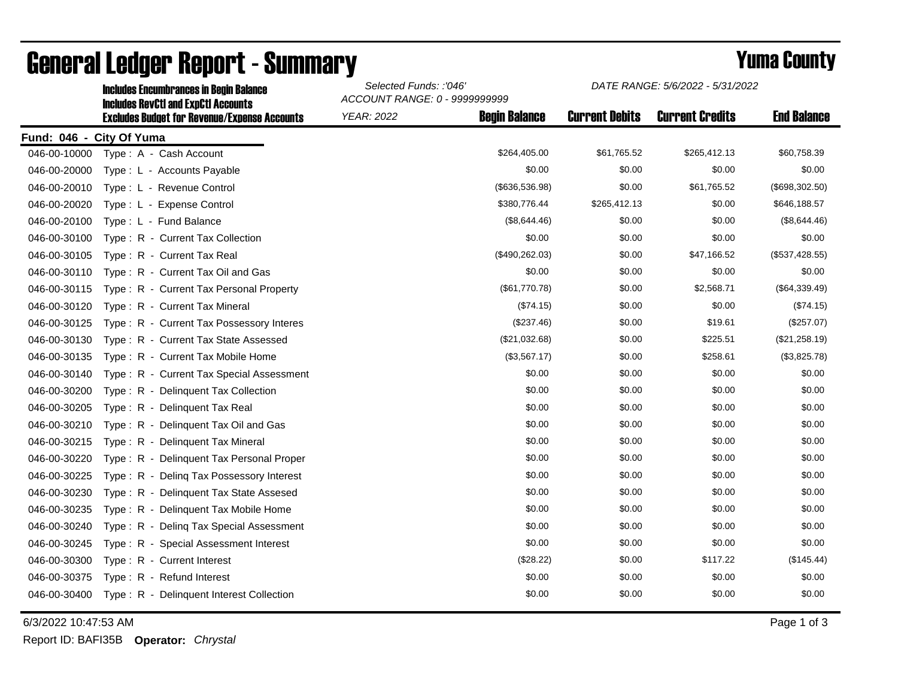|                          | <b>Includes Encumbrances in Begin Balance</b><br><b>Includes RevCtI and ExpCtI Accounts</b> | Selected Funds: :'046'<br>ACCOUNT RANGE: 0 - 9999999999 |                      | DATE RANGE: 5/6/2022 - 5/31/2022 |                        |                    |
|--------------------------|---------------------------------------------------------------------------------------------|---------------------------------------------------------|----------------------|----------------------------------|------------------------|--------------------|
|                          | <b>Excludes Budget for Revenue/Expense Accounts</b>                                         | <b>YEAR: 2022</b>                                       | <b>Begin Balance</b> | <b>Current Debits</b>            | <b>Current Credits</b> | <b>End Balance</b> |
| Fund: 046 - City Of Yuma |                                                                                             |                                                         |                      |                                  |                        |                    |
| 046-00-10000             | Type: A - Cash Account                                                                      |                                                         | \$264,405.00         | \$61,765.52                      | \$265,412.13           | \$60,758.39        |
| 046-00-20000             | Type: L - Accounts Payable                                                                  |                                                         | \$0.00               | \$0.00                           | \$0.00                 | \$0.00             |
| 046-00-20010             | Type: L - Revenue Control                                                                   |                                                         | (\$636,536.98)       | \$0.00                           | \$61,765.52            | (\$698,302.50)     |
| 046-00-20020             | Type: L - Expense Control                                                                   |                                                         | \$380,776.44         | \$265,412.13                     | \$0.00                 | \$646,188.57       |
| 046-00-20100             | Type: L - Fund Balance                                                                      |                                                         | (\$8,644.46)         | \$0.00                           | \$0.00                 | (\$8,644.46)       |
| 046-00-30100             | Type: R - Current Tax Collection                                                            |                                                         | \$0.00               | \$0.00                           | \$0.00                 | \$0.00             |
| 046-00-30105             | Type: R - Current Tax Real                                                                  |                                                         | (\$490,262.03)       | \$0.00                           | \$47,166.52            | (\$537,428.55)     |
| 046-00-30110             | Type: R - Current Tax Oil and Gas                                                           |                                                         | \$0.00               | \$0.00                           | \$0.00                 | \$0.00             |
| 046-00-30115             | Type: R - Current Tax Personal Property                                                     |                                                         | (\$61,770.78)        | \$0.00                           | \$2,568.71             | (\$64,339.49)      |
| 046-00-30120             | Type: R - Current Tax Mineral                                                               |                                                         | (\$74.15)            | \$0.00                           | \$0.00                 | (\$74.15)          |
| 046-00-30125             | Type: R - Current Tax Possessory Interes                                                    |                                                         | (\$237.46)           | \$0.00                           | \$19.61                | (\$257.07)         |
| 046-00-30130             | Type: R - Current Tax State Assessed                                                        |                                                         | (\$21,032.68)        | \$0.00                           | \$225.51               | (\$21,258.19)      |
| 046-00-30135             | Type: R - Current Tax Mobile Home                                                           |                                                         | (\$3,567.17)         | \$0.00                           | \$258.61               | (\$3,825.78)       |
| 046-00-30140             | Type: R - Current Tax Special Assessment                                                    |                                                         | \$0.00               | \$0.00                           | \$0.00                 | \$0.00             |
| 046-00-30200             | Type: R - Delinquent Tax Collection                                                         |                                                         | \$0.00               | \$0.00                           | \$0.00                 | \$0.00             |
| 046-00-30205             | Type: R - Delinquent Tax Real                                                               |                                                         | \$0.00               | \$0.00                           | \$0.00                 | \$0.00             |
| 046-00-30210             | Type: R - Delinquent Tax Oil and Gas                                                        |                                                         | \$0.00               | \$0.00                           | \$0.00                 | \$0.00             |
| 046-00-30215             | Type: R - Delinquent Tax Mineral                                                            |                                                         | \$0.00               | \$0.00                           | \$0.00                 | \$0.00             |
| 046-00-30220             | Type: R - Delinquent Tax Personal Proper                                                    |                                                         | \$0.00               | \$0.00                           | \$0.00                 | \$0.00             |
| 046-00-30225             | Type: R - Deling Tax Possessory Interest                                                    |                                                         | \$0.00               | \$0.00                           | \$0.00                 | \$0.00             |
| 046-00-30230             | Type: R - Delinquent Tax State Assesed                                                      |                                                         | \$0.00               | \$0.00                           | \$0.00                 | \$0.00             |
| 046-00-30235             | Type: R - Delinquent Tax Mobile Home                                                        |                                                         | \$0.00               | \$0.00                           | \$0.00                 | \$0.00             |
| 046-00-30240             | Type: R - Deling Tax Special Assessment                                                     |                                                         | \$0.00               | \$0.00                           | \$0.00                 | \$0.00             |
| 046-00-30245             | Type: R - Special Assessment Interest                                                       |                                                         | \$0.00               | \$0.00                           | \$0.00                 | \$0.00             |
| 046-00-30300             | Type: R - Current Interest                                                                  |                                                         | (\$28.22)            | \$0.00                           | \$117.22               | (\$145.44)         |
| 046-00-30375             | Type: R - Refund Interest                                                                   |                                                         | \$0.00               | \$0.00                           | \$0.00                 | \$0.00             |
| 046-00-30400             | Type: R - Delinquent Interest Collection                                                    |                                                         | \$0.00               | \$0.00                           | \$0.00                 | \$0.00             |

## General Ledger Report - Summary **Example 2018** Yuma County

6/3/2022 10:47:53 AM Page 1 of 3

Report ID: BAFI35B **Operator:** *Chrystal*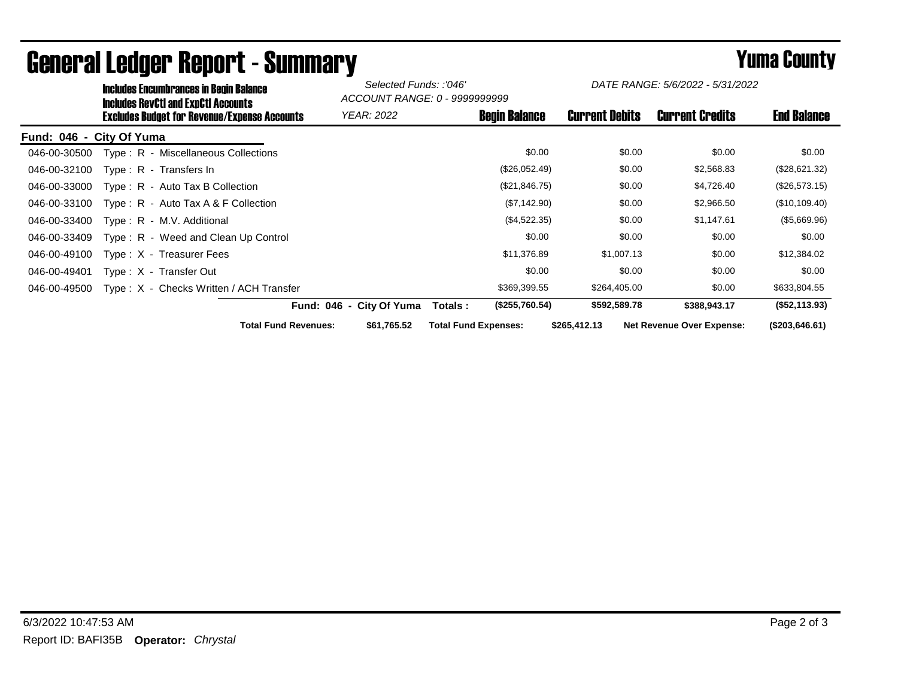|              | <b>Includes Encumbrances in Begin Balance</b><br><b>Includes RevCtI and ExpCtI Accounts</b><br><b>Excludes Budget for Revenue/Expense Accounts</b> |                             | Selected Funds: :'046'<br>ACCOUNT RANGE: 0 - 9999999999 |                             | DATE RANGE: 5/6/2022 - 5/31/2022 |                       |                                  |                    |
|--------------|----------------------------------------------------------------------------------------------------------------------------------------------------|-----------------------------|---------------------------------------------------------|-----------------------------|----------------------------------|-----------------------|----------------------------------|--------------------|
|              |                                                                                                                                                    |                             | <b>YEAR: 2022</b>                                       |                             | <b>Begin Balance</b>             | <b>Current Debits</b> | <b>Current Credits</b>           | <b>End Balance</b> |
| Fund: 046 -  | City Of Yuma                                                                                                                                       |                             |                                                         |                             |                                  |                       |                                  |                    |
| 046-00-30500 | Type: R - Miscellaneous Collections                                                                                                                |                             |                                                         |                             | \$0.00                           | \$0.00                | \$0.00                           | \$0.00             |
| 046-00-32100 | Type: R - Transfers In                                                                                                                             |                             |                                                         |                             | (\$26,052.49)                    | \$0.00                | \$2,568.83                       | (\$28,621.32)      |
| 046-00-33000 | Type: R - Auto Tax B Collection                                                                                                                    |                             |                                                         |                             | (\$21,846.75)                    | \$0.00                | \$4,726.40                       | (\$26,573.15)      |
| 046-00-33100 | Type: $R -$ Auto Tax A & F Collection                                                                                                              |                             |                                                         |                             | (\$7,142.90)                     | \$0.00                | \$2,966.50                       | (\$10,109.40)      |
| 046-00-33400 | Type: R - M.V. Additional                                                                                                                          |                             |                                                         |                             | (\$4,522.35)                     | \$0.00                | \$1,147.61                       | (\$5,669.96)       |
| 046-00-33409 | Type: R - Weed and Clean Up Control                                                                                                                |                             |                                                         |                             | \$0.00                           | \$0.00                | \$0.00                           | \$0.00             |
| 046-00-49100 | Type: X - Treasurer Fees                                                                                                                           |                             |                                                         |                             | \$11,376.89                      | \$1,007.13            | \$0.00                           | \$12,384.02        |
| 046-00-49401 | Type: X - Transfer Out                                                                                                                             |                             |                                                         |                             | \$0.00                           | \$0.00                | \$0.00                           | \$0.00             |
| 046-00-49500 | Type: X - Checks Written / ACH Transfer                                                                                                            |                             |                                                         |                             | \$369,399.55                     | \$264,405.00          | \$0.00                           | \$633,804.55       |
|              |                                                                                                                                                    |                             | Fund: 046 - City Of Yuma                                | Totals :                    | (\$255,760.54)                   | \$592,589.78          | \$388,943.17                     | (\$52,113.93)      |
|              |                                                                                                                                                    | <b>Total Fund Revenues:</b> | \$61,765.52                                             | <b>Total Fund Expenses:</b> |                                  | \$265,412.13          | <b>Net Revenue Over Expense:</b> | (\$203,646.61)     |

## General Ledger Report - Summary **Example 2018** Yuma County